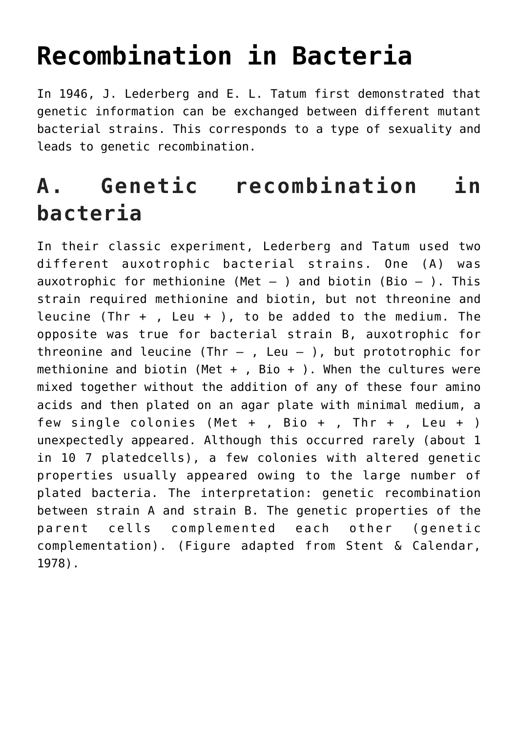## **[Recombination in Bacteria](https://www.magazinescience.com/en/biology/recombination-in-bacteria/)**

In 1946, J. Lederberg and E. L. Tatum first demonstrated that genetic information can be exchanged between different mutant bacterial strains. This corresponds to a type of sexuality and leads to genetic recombination.

## **A. Genetic recombination in bacteria**

In their classic experiment, Lederberg and Tatum used two different auxotrophic bacterial strains. One (A) was auxotrophic for methionine (Met  $-$  ) and biotin (Bio  $-$  ). This strain required methionine and biotin, but not threonine and leucine (Thr  $+$  , Leu  $+$  ), to be added to the medium. The opposite was true for bacterial strain B, auxotrophic for threonine and leucine (Thr  $-$  , Leu  $-$  ), but prototrophic for methionine and biotin (Met + , Bio + ). When the cultures were mixed together without the addition of any of these four amino acids and then plated on an agar plate with minimal medium, a few single colonies (Met + , Bio + , Thr + , Leu + ) unexpectedly appeared. Although this occurred rarely (about 1 in 10 7 platedcells), a few colonies with altered genetic properties usually appeared owing to the large number of plated bacteria. The interpretation: genetic recombination between strain A and strain B. The genetic properties of the parent cells complemented each other (genetic complementation). (Figure adapted from Stent & Calendar, 1978).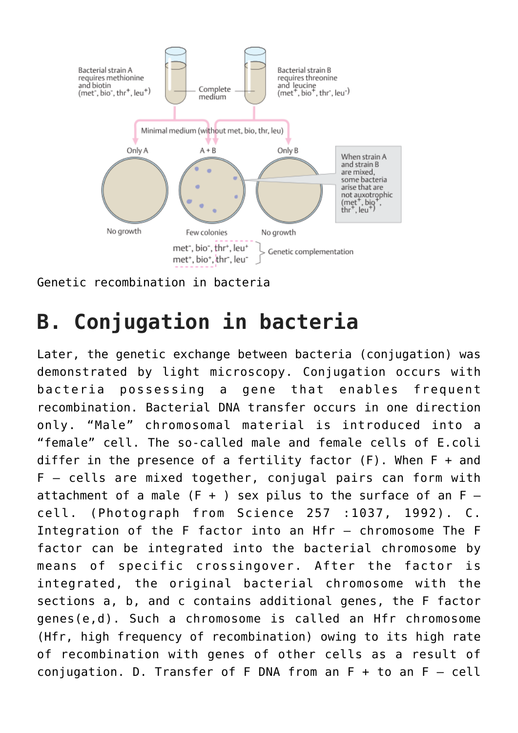

Genetic recombination in bacteria

## **B. Conjugation in bacteria**

Later, the genetic exchange between bacteria (conjugation) was demonstrated by light microscopy. Conjugation occurs with bacteria possessing a gene that enables frequent recombination. Bacterial DNA transfer occurs in one direction only. "Male" chromosomal material is introduced into a "female" cell. The so-called male and female cells of E.coli differ in the presence of a fertility factor  $(F)$ . When  $F +$  and F – cells are mixed together, conjugal pairs can form with attachment of a male  $(F + )$  sex pilus to the surface of an  $F$ cell. (Photograph from Science 257 :1037, 1992). C. Integration of the F factor into an Hfr – chromosome The F factor can be integrated into the bacterial chromosome by means of specific crossingover. After the factor is integrated, the original bacterial chromosome with the sections a, b, and c contains additional genes, the F factor genes(e,d). Such a chromosome is called an Hfr chromosome (Hfr, high frequency of recombination) owing to its high rate of recombination with genes of other cells as a result of conjugation. D. Transfer of F DNA from an  $F + to$  an  $F - cell$